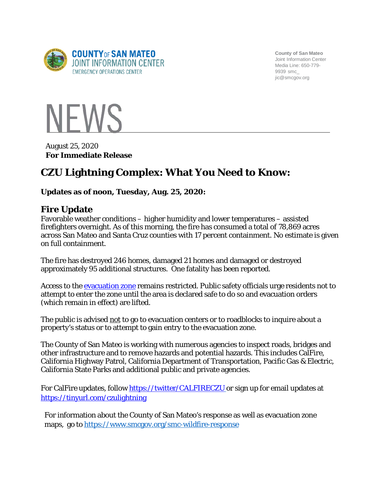

**County of San Mateo** Joint Information Center Media Line: 650-779- 9939 smc\_ [jic@smcgov.org](mailto:jic@smcgov.org)



**For Immediate Release** August 25, 2020

# **CZU Lightning Complex: What You Need to Know:**

#### **Updates as of noon, Tuesday, Aug. 25, 2020:**

### **Fire Update**

Favorable weather conditions – higher humidity and lower temperatures – assisted firefighters overnight. As of this morning, the fire has consumed a total of 78,869 acres across San Mateo and Santa Cruz counties with 17 percent containment. No estimate is given on full containment.

The fire has destroyed 246 homes, damaged 21 homes and damaged or destroyed approximately 95 additional structures. One fatality has been reported.

Access to the [evacuation zone](https://storymaps.arcgis.com/stories/f0121f7f2f0941afb3ed70529b2cee75) remains restricted. Public safety officials urge residents not to attempt to enter the zone until the area is declared safe to do so and evacuation orders (which remain in effect) are lifted.

The public is advised not to go to evacuation centers or to roadblocks to inquire about a property's status or to attempt to gain entry to the evacuation zone.

The County of San Mateo is working with numerous agencies to inspect roads, bridges and other infrastructure and to remove hazards and potential hazards. This includes CalFire, California Highway Patrol, California Department of Transportation, Pacific Gas & Electric, California State Parks and additional public and private agencies.

For CalFire updates, follow <https://twitter/CALFIRECZU> or sign up for email updates at <https://tinyurl.com/czulightning>

For information about the County of San Mateo's response as well as evacuation zone maps, go to <https://www.smcgov.org/smc-wildfire-response>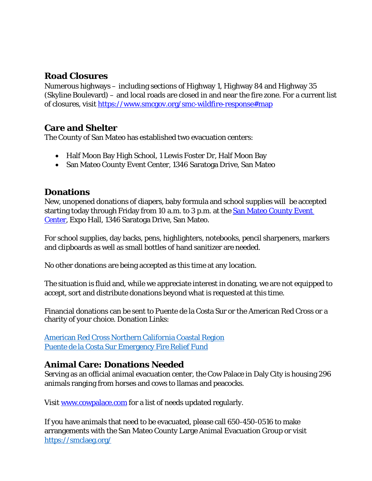# **Road Closures**

Numerous highways – including sections of Highway 1, Highway 84 and Highway 35 (Skyline Boulevard) – and local roads are closed in and near the fire zone. For a current list of closures, visit<https://www.smcgov.org/smc-wildfire-response#map>

# **Care and Shelter**

The County of San Mateo has established two evacuation centers:

- Half Moon Bay High School, 1 Lewis Foster Dr, Half Moon Bay
- San Mateo County Event Center, 1346 Saratoga Drive, San Mateo

#### **Donations**

New, unopened donations of diapers, baby formula and school supplies will be accepted starting today through Friday from 10 a.m. to 3 p.m. at the [San Mateo County Event](https://www.smcec.co/)  [Center,](https://www.smcec.co/) Expo Hall, 1346 Saratoga Drive, San Mateo.

For school supplies, day backs, pens, highlighters, notebooks, pencil sharpeners, markers and clipboards as well as small bottles of hand sanitizer are needed.

No other donations are being accepted as this time at any location.

The situation is fluid and, while we appreciate interest in donating, we are not equipped to accept, sort and distribute donations beyond what is requested at this time.

Financial donations can be sent to Puente de la Costa Sur or the American Red Cross or a charity of your choice. Donation Links:

American Red Cross Northern [California](https://www.redcross.org/local/california/northern-california-coastal.html) Coastal Regio[n](https://mailchi.mp/mypuente.org/fire-relief-200819?fbclid=IwAR2ZwI_3POQpielrGiMjPIeYZdqjlJEs-Z0WAk4rZH7NH1JB9XCzYWIWU4g) Puente de la Costa Sur [Emergency](https://mailchi.mp/mypuente.org/fire-relief-200819?fbclid=IwAR2ZwI_3POQpielrGiMjPIeYZdqjlJEs-Z0WAk4rZH7NH1JB9XCzYWIWU4g) Fire Relief Fund

# **Animal Care: Donations Needed**

Serving as an official animal evacuation center, the Cow Palace in Daly City is housing 296 animals ranging from horses and cows to llamas and peacocks.

Visit [www.cowpalace.com](http://www.cowpalace.com/) for a list of needs updated regularly.

If you have animals that need to be evacuated, please call 650-450-0516 to make arrangements with the San Mateo County Large Animal Evacuation Group or visit <https://smclaeg.org/>